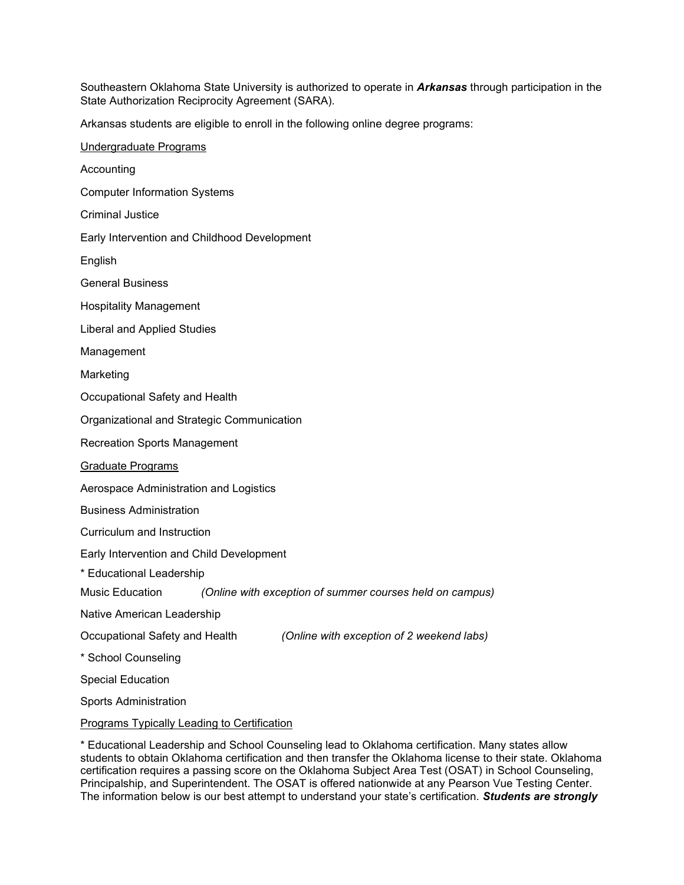Southeastern Oklahoma State University is authorized to operate in *Arkansas* through participation in the State Authorization Reciprocity Agreement (SARA).

Arkansas students are eligible to enroll in the following online degree programs:

| Undergraduate Programs                                                      |
|-----------------------------------------------------------------------------|
| Accounting                                                                  |
| <b>Computer Information Systems</b>                                         |
| <b>Criminal Justice</b>                                                     |
| Early Intervention and Childhood Development                                |
| English                                                                     |
| <b>General Business</b>                                                     |
| <b>Hospitality Management</b>                                               |
| Liberal and Applied Studies                                                 |
| Management                                                                  |
| Marketing                                                                   |
| Occupational Safety and Health                                              |
| Organizational and Strategic Communication                                  |
| <b>Recreation Sports Management</b>                                         |
| Graduate Programs                                                           |
| Aerospace Administration and Logistics                                      |
| <b>Business Administration</b>                                              |
| Curriculum and Instruction                                                  |
| Early Intervention and Child Development                                    |
| * Educational Leadership                                                    |
| Music Education<br>(Online with exception of summer courses held on campus) |
| Native American Leadership                                                  |
| Occupational Safety and Health<br>(Online with exception of 2 weekend labs) |
| * School Counseling                                                         |
| <b>Special Education</b>                                                    |
| <b>Sports Administration</b>                                                |
| Programs Typically Leading to Certification                                 |
|                                                                             |

\* Educational Leadership and School Counseling lead to Oklahoma certification. Many states allow students to obtain Oklahoma certification and then transfer the Oklahoma license to their state. Oklahoma certification requires a passing score on the Oklahoma Subject Area Test (OSAT) in School Counseling, Principalship, and Superintendent. The OSAT is offered nationwide at any Pearson Vue Testing Center. The information below is our best attempt to understand your state's certification. *Students are strongly*